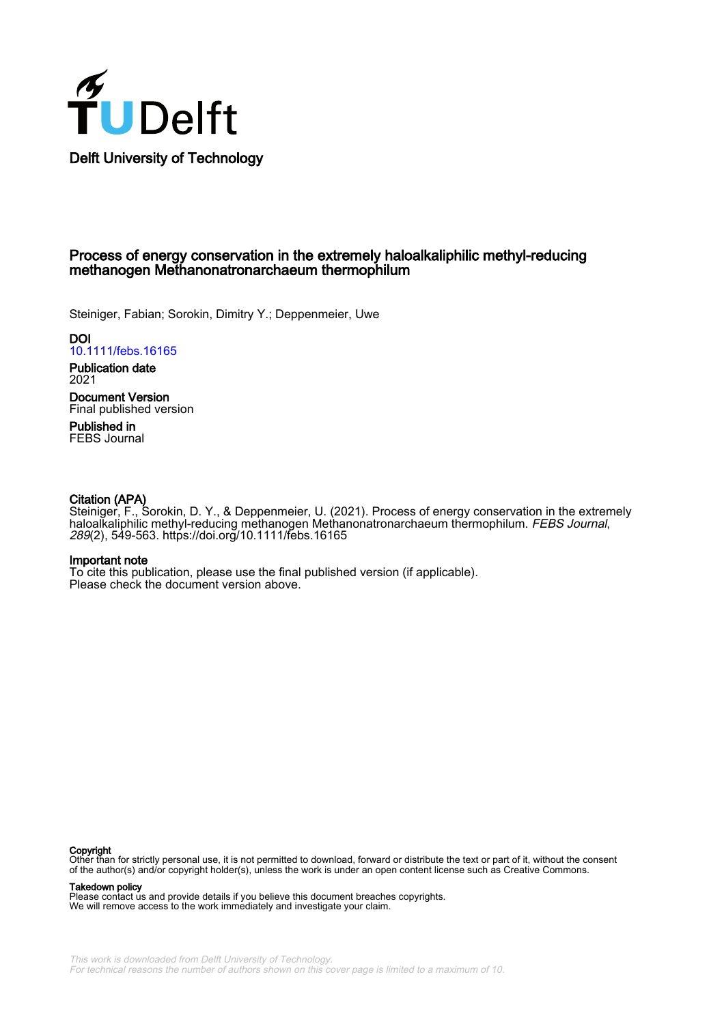

## Process of energy conservation in the extremely haloalkaliphilic methyl-reducing methanogen Methanonatronarchaeum thermophilum

Steiniger, Fabian; Sorokin, Dimitry Y.; Deppenmeier, Uwe

**DOI** [10.1111/febs.16165](https://doi.org/10.1111/febs.16165)

Publication date 2021

Document Version Final published version

Published in FEBS Journal

## Citation (APA)

Steiniger, F., Sorokin, D. Y., & Deppenmeier, U. (2021). Process of energy conservation in the extremely haloalkaliphilic methyl-reducing methanogen Methanonatronarchaeum thermophilum. FEBS Journal, 289(2), 549-563. <https://doi.org/10.1111/febs.16165>

#### Important note

To cite this publication, please use the final published version (if applicable). Please check the document version above.

#### Copyright

Other than for strictly personal use, it is not permitted to download, forward or distribute the text or part of it, without the consent of the author(s) and/or copyright holder(s), unless the work is under an open content license such as Creative Commons.

#### Takedown policy

Please contact us and provide details if you believe this document breaches copyrights. We will remove access to the work immediately and investigate your claim.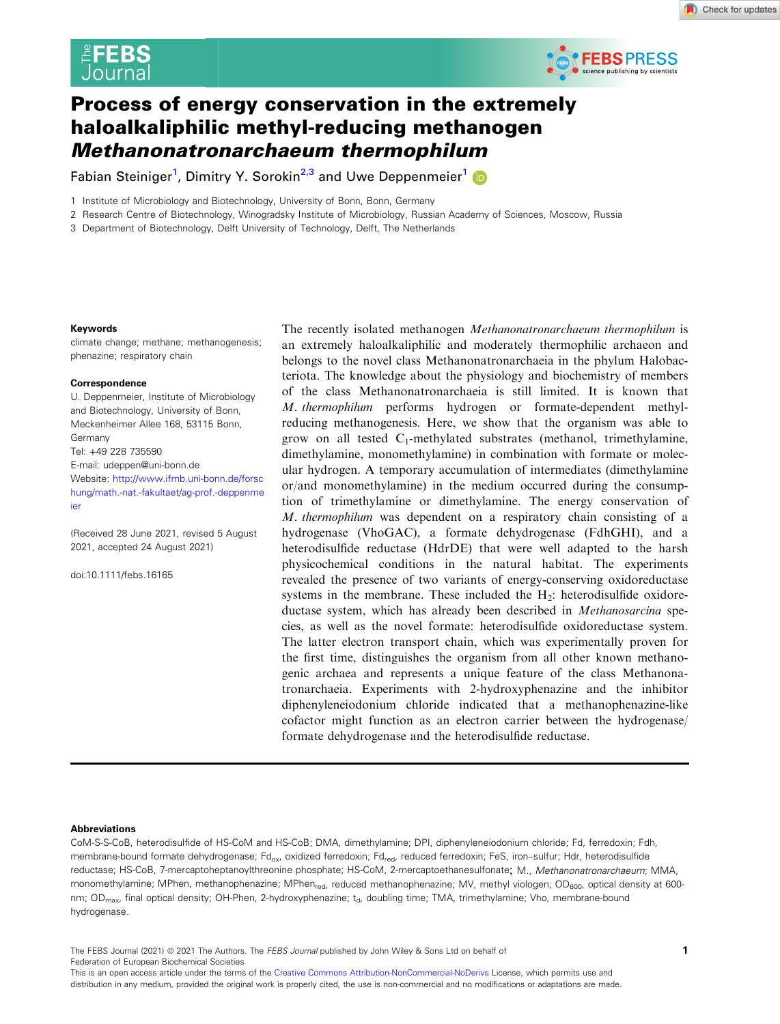



# Process of energy conservation in the extremely haloalkaliphilic methyl-reducing methanogen Methanonatronarchaeum thermophilum

Fabian Steiniger<sup>[1](https://orcid.org/0000-0002-7810-7663)</sup>, Dimitry Y. Sorokin<sup>2,3</sup> and Uwe Deppenmeier<sup>1</sup>

1 Institute of Microbiology and Biotechnology, University of Bonn, Bonn, Germany

2 Research Centre of Biotechnology, Winogradsky Institute of Microbiology, Russian Academy of Sciences, Moscow, Russia

3 Department of Biotechnology, Delft University of Technology, Delft, The Netherlands

#### Keywords

climate change; methane; methanogenesis; phenazine; respiratory chain

#### **Correspondence**

U. Deppenmeier, Institute of Microbiology and Biotechnology, University of Bonn, Meckenheimer Allee 168, 53115 Bonn, Germany Tel: +49 228 735590 E-mail: [udeppen@uni-bonn.de](mailto:) Website: [http://www.ifmb.uni-bonn.de/forsc](http://www.ifmb.uni-bonn.de/forschung/math.-nat.-fakultaet/ag-prof.-deppenmeier) [hung/math.-nat.-fakultaet/ag-prof.-deppenme](http://www.ifmb.uni-bonn.de/forschung/math.-nat.-fakultaet/ag-prof.-deppenmeier) [ier](http://www.ifmb.uni-bonn.de/forschung/math.-nat.-fakultaet/ag-prof.-deppenmeier)

(Received 28 June 2021, revised 5 August 2021, accepted 24 August 2021)

doi:10.1111/febs.16165

The recently isolated methanogen Methanonatronarchaeum thermophilum is an extremely haloalkaliphilic and moderately thermophilic archaeon and belongs to the novel class Methanonatronarchaeia in the phylum Halobacteriota. The knowledge about the physiology and biochemistry of members of the class Methanonatronarchaeia is still limited. It is known that M. thermophilum performs hydrogen or formate-dependent methylreducing methanogenesis. Here, we show that the organism was able to grow on all tested  $C_1$ -methylated substrates (methanol, trimethylamine, dimethylamine, monomethylamine) in combination with formate or molecular hydrogen. A temporary accumulation of intermediates (dimethylamine or/and monomethylamine) in the medium occurred during the consumption of trimethylamine or dimethylamine. The energy conservation of M. thermophilum was dependent on a respiratory chain consisting of a hydrogenase (VhoGAC), a formate dehydrogenase (FdhGHI), and a heterodisulfide reductase (HdrDE) that were well adapted to the harsh physicochemical conditions in the natural habitat. The experiments revealed the presence of two variants of energy-conserving oxidoreductase systems in the membrane. These included the  $H_2$ : heterodisulfide oxidoreductase system, which has already been described in Methanosarcina species, as well as the novel formate: heterodisulfide oxidoreductase system. The latter electron transport chain, which was experimentally proven for the first time, distinguishes the organism from all other known methanogenic archaea and represents a unique feature of the class Methanonatronarchaeia. Experiments with 2-hydroxyphenazine and the inhibitor diphenyleneiodonium chloride indicated that a methanophenazine-like cofactor might function as an electron carrier between the hydrogenase/ formate dehydrogenase and the heterodisulfide reductase.

#### Abbreviations

CoM-S-S-CoB, heterodisulfide of HS-CoM and HS-CoB; DMA, dimethylamine; DPI, diphenyleneiodonium chloride; Fd, ferredoxin; Fdh, membrane-bound formate dehydrogenase; Fd<sub>ox</sub>, oxidized ferredoxin; Fd<sub>red</sub>, reduced ferredoxin; FeS, iron–sulfur; Hdr, heterodisulfide reductase; HS-CoB, 7-mercaptoheptanoylthreonine phosphate; HS-CoM, 2-mercaptoethanesulfonate; M., Methanonatronarchaeum; MMA, monomethylamine; MPhen, methanophenazine; MPhen<sub>red</sub>, reduced methanophenazine; MV, methyl viologen; OD<sub>600</sub>, optical density at 600nm; OD<sub>max</sub>, final optical density; OH-Phen, 2-hydroxyphenazine; t<sub>d</sub>, doubling time; TMA, trimethylamine; Vho, membrane-bound hydrogenase.

The FEBS Journal (2021)  $\circledcirc$  2021 The Authors. The FEBS Journal published by John Wiley & Sons Ltd on behalf of  $1$ Federation of European Biochemical Societies

This is an open access article under the terms of the [Creative Commons Attribution-NonCommercial-NoDerivs](http://creativecommons.org/licenses/by-nc-nd/4.0/) License, which permits use and distribution in any medium, provided the original work is properly cited, the use is non-commercial and no modifications or adaptations are made.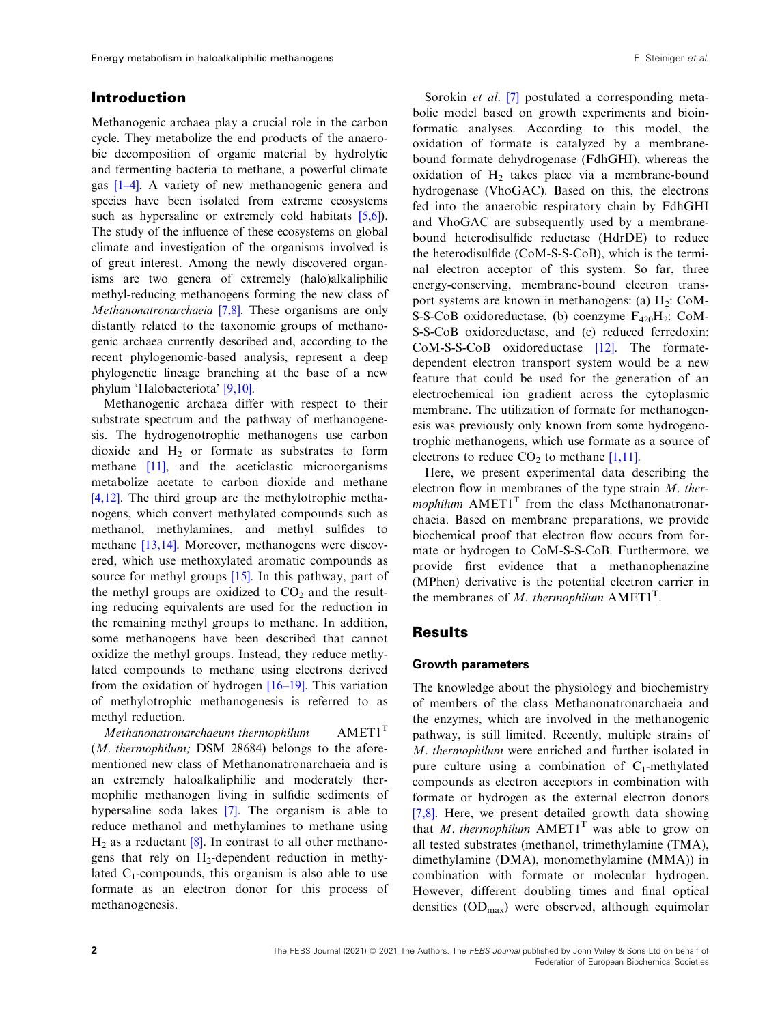## Introduction

Methanogenic archaea play a crucial role in the carbon cycle. They metabolize the end products of the anaerobic decomposition of organic material by hydrolytic and fermenting bacteria to methane, a powerful climate gas [1[–](#page-13-0)[4\]](#page-13-0). A variety of new methanogenic genera and species have been isolated from extreme ecosystems such as hypersaline or extremely cold habitats  $[5,6]$  $[5,6]$ . The study of the influence of these ecosystems on global climate and investigation of the organisms involved is of great interest. Among the newly discovered organisms are two genera of extremely (halo)alkaliphilic methyl-reducing methanogens forming the new class of Methanonatronarchaeia [\[7,8](#page-13-0)]. These organisms are only distantly related to the taxonomic groups of methanogenic archaea currently described and, according to the recent phylogenomic-based analysis, represent a deep phylogenetic lineage branching at the base of a new phylum 'Halobacteriota' [\[9,10\]](#page-13-0).

Methanogenic archaea differ with respect to their substrate spectrum and the pathway of methanogenesis. The hydrogenotrophic methanogens use carbon dioxide and  $H_2$  or formate as substrates to form methane [[11\]](#page-13-0), and the aceticlastic microorganisms metabolize acetate to carbon dioxide and methane [\[4,12](#page-13-0)]. The third group are the methylotrophic methanogens, which convert methylated compounds such as methanol, methylamines, and methyl sulfides to methane [[13,14](#page-13-0)]. Moreover, methanogens were discovered, which use methoxylated aromatic compounds as source for methyl groups [\[15\]](#page-13-0). In this pathway, part of the methyl groups are oxidized to  $CO<sub>2</sub>$  and the resulting reducing equivalents are used for the reduction in the remaining methyl groups to methane. In addition, some methanogens have been described that cannot oxidize the methyl groups. Instead, they reduce methylated compounds to methane using electrons derived from the oxidation of hydrogen [\[16](#page-13-0)–19]. This variation of methylotrophic methanogenesis is referred to as methyl reduction.

Methanonatronarchaeum thermophilum  $AMET1^T$ (M. thermophilum; DSM 28684) belongs to the aforementioned new class of Methanonatronarchaeia and is an extremely haloalkaliphilic and moderately thermophilic methanogen living in sulfidic sediments of hypersaline soda lakes [[7\]](#page-13-0). The organism is able to reduce methanol and methylamines to methane using  $H<sub>2</sub>$  as a reductant  $[8]$  $[8]$ . In contrast to all other methanogens that rely on  $H_2$ -dependent reduction in methylated  $C_1$ -compounds, this organism is also able to use formate as an electron donor for this process of methanogenesis.

Sorokin *et al.* [\[7\]](#page-13-0) postulated a corresponding metabolic model based on growth experiments and bioinformatic analyses. According to this model, the oxidation of formate is catalyzed by a membranebound formate dehydrogenase (FdhGHI), whereas the oxidation of  $H_2$  takes place via a membrane-bound hydrogenase (VhoGAC). Based on this, the electrons fed into the anaerobic respiratory chain by FdhGHI and VhoGAC are subsequently used by a membranebound heterodisulfide reductase (HdrDE) to reduce the heterodisulfide (CoM-S-S-CoB), which is the terminal electron acceptor of this system. So far, three energy-conserving, membrane-bound electron transport systems are known in methanogens: (a)  $H_2$ : CoM-S-S-CoB oxidoreductase, (b) coenzyme  $F_{420}H_2$ : CoM-S-S-CoB oxidoreductase, and (c) reduced ferredoxin: CoM-S-S-CoB oxidoreductase [\[12\]](#page-13-0). The formatedependent electron transport system would be a new feature that could be used for the generation of an electrochemical ion gradient across the cytoplasmic membrane. The utilization of formate for methanogenesis was previously only known from some hydrogenotrophic methanogens, which use formate as a source of electrons to reduce  $CO<sub>2</sub>$  to methane [[1,11](#page-13-0)].

Here, we present experimental data describing the electron flow in membranes of the type strain  $M$ . thermophilum  $AMET1<sup>T</sup>$  from the class Methanonatronarchaeia. Based on membrane preparations, we provide biochemical proof that electron flow occurs from formate or hydrogen to CoM-S-S-CoB. Furthermore, we provide first evidence that a methanophenazine (MPhen) derivative is the potential electron carrier in the membranes of M. thermophilum  $AMET1<sup>T</sup>$ .

## Results

#### Growth parameters

The knowledge about the physiology and biochemistry of members of the class Methanonatronarchaeia and the enzymes, which are involved in the methanogenic pathway, is still limited. Recently, multiple strains of M. thermophilum were enriched and further isolated in pure culture using a combination of  $C_1$ -methylated compounds as electron acceptors in combination with formate or hydrogen as the external electron donors [\[7,8](#page-13-0)]. Here, we present detailed growth data showing that M. thermophilum  $AMET1<sup>T</sup>$  was able to grow on all tested substrates (methanol, trimethylamine (TMA), dimethylamine (DMA), monomethylamine (MMA)) in combination with formate or molecular hydrogen. However, different doubling times and final optical densities  $OD_{\text{max}}$ ) were observed, although equimolar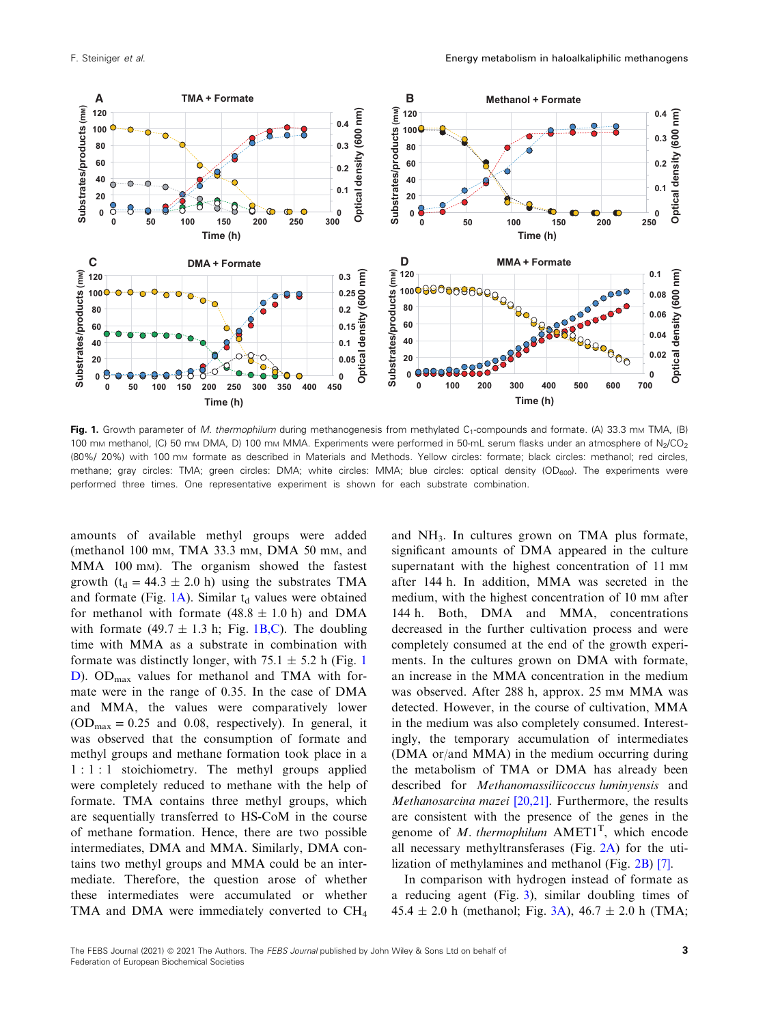

Fig. 1. Growth parameter of M. thermophilum during methanogenesis from methylated  $C_1$ -compounds and formate. (A) 33.3 mm TMA, (B) 100 mm methanol, (C) 50 mm DMA, D) 100 mm MMA. Experiments were performed in 50-mL serum flasks under an atmosphere of N<sub>2</sub>/CO<sub>2</sub> (80%/ 20%) with 100 mM formate as described in Materials and Methods. Yellow circles: formate; black circles: methanol; red circles, methane; gray circles: TMA; green circles: DMA; white circles: MMA; blue circles: optical density ( $OD_{600}$ ). The experiments were performed three times. One representative experiment is shown for each substrate combination.

amounts of available methyl groups were added (methanol 100 mM, TMA 33.3 mM, DMA 50 mM, and MMA 100 mM). The organism showed the fastest growth ( $t_d = 44.3 \pm 2.0$  h) using the substrates TMA and formate (Fig.  $1A$ ). Similar  $t_d$  values were obtained for methanol with formate  $(48.8 \pm 1.0 \text{ h})$  and DMA with formate (49.7  $\pm$  1.3 h; Fig. 1B,C). The doubling time with MMA as a substrate in combination with formate was distinctly longer, with  $75.1 \pm 5.2$  h (Fig. 1) D). OD<sub>max</sub> values for methanol and TMA with formate were in the range of 0.35. In the case of DMA and MMA, the values were comparatively lower  $(OD<sub>max</sub> = 0.25$  and 0.08, respectively). In general, it was observed that the consumption of formate and methyl groups and methane formation took place in a 1 : 1 : 1 stoichiometry. The methyl groups applied were completely reduced to methane with the help of formate. TMA contains three methyl groups, which are sequentially transferred to HS-CoM in the course of methane formation. Hence, there are two possible intermediates, DMA and MMA. Similarly, DMA contains two methyl groups and MMA could be an intermediate. Therefore, the question arose of whether these intermediates were accumulated or whether TMA and DMA were immediately converted to CH<sub>4</sub>

and  $NH<sub>3</sub>$ . In cultures grown on TMA plus formate, significant amounts of DMA appeared in the culture supernatant with the highest concentration of 11 mm after 144 h. In addition, MMA was secreted in the medium, with the highest concentration of 10 mm after 144 h. Both, DMA and MMA, concentrations decreased in the further cultivation process and were completely consumed at the end of the growth experiments. In the cultures grown on DMA with formate, an increase in the MMA concentration in the medium was observed. After 288 h, approx. 25 mm MMA was detected. However, in the course of cultivation, MMA in the medium was also completely consumed. Interestingly, the temporary accumulation of intermediates (DMA or/and MMA) in the medium occurring during the metabolism of TMA or DMA has already been described for Methanomassiliicoccus luminyensis and Methanosarcina mazei [[20,21](#page-13-0)]. Furthermore, the results are consistent with the presence of the genes in the genome of  $M$ . thermophilum  $AMET1<sup>T</sup>$ , which encode all necessary methyltransferases (Fig. [2A](#page-4-0)) for the utilization of methylamines and methanol (Fig. [2B\)](#page-4-0) [[7](#page-13-0)].

In comparison with hydrogen instead of formate as a reducing agent (Fig. [3\)](#page-5-0), similar doubling times of  $45.4 \pm 2.0$  h (methanol; Fig. [3A\)](#page-5-0),  $46.7 \pm 2.0$  h (TMA;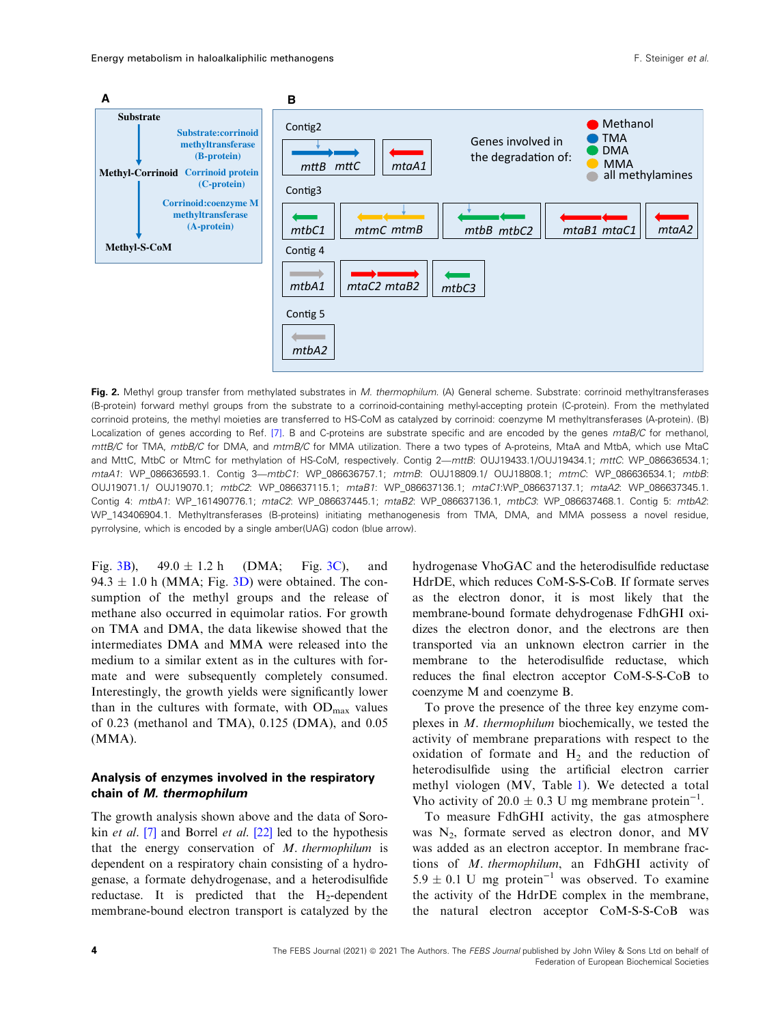<span id="page-4-0"></span>

Fig. 2. Methyl group transfer from methylated substrates in M. thermophilum. (A) General scheme. Substrate: corrinoid methyltransferases (B-protein) forward methyl groups from the substrate to a corrinoid-containing methyl-accepting protein (C-protein). From the methylated corrinoid proteins, the methyl moieties are transferred to HS-CoM as catalyzed by corrinoid: coenzyme M methyltransferases (A-protein). (B) Localization of genes according to Ref. [\[7](#page-13-0)]. B and C-proteins are substrate specific and are encoded by the genes mtaB/C for methanol, mttB/C for TMA, mtbB/C for DMA, and mtmB/C for MMA utilization. There a two types of A-proteins, MtaA and MtbA, which use MtaC and MttC, MtbC or MtmC for methylation of HS-CoM, respectively. Contig 2—mttB: OUJ19433.1/OUJ19434.1; mttC: WP\_086636534.1; mtaA1: WP\_086636593.1. Contig 3—mtbC1: WP\_086636757.1; mtmB: OUJ18809.1/ OUJ18808.1; mtmC: WP\_086636534.1; mtbB: OUJ19071.1/ OUJ19070.1; mtbC2: WP\_086637115.1; mtaB1: WP\_086637136.1; mtaC1:WP\_086637137.1; mtaA2: WP\_086637345.1. Contig 4: mtbA1: WP\_161490776.1; mtaC2: WP\_086637445.1; mtaB2: WP\_086637136.1, mtbC3: WP\_086637468.1. Contig 5: mtbA2: WP\_143406904.1. Methyltransferases (B-proteins) initiating methanogenesis from TMA, DMA, and MMA possess a novel residue, pyrrolysine, which is encoded by a single amber(UAG) codon (blue arrow).

Fig. [3B](#page-5-0)),  $49.0 \pm 1.2$  h (DMA; Fig. [3C\)](#page-5-0), and 94.3  $\pm$  1.0 h (MMA; Fig. [3D](#page-5-0)) were obtained. The consumption of the methyl groups and the release of methane also occurred in equimolar ratios. For growth on TMA and DMA, the data likewise showed that the intermediates DMA and MMA were released into the medium to a similar extent as in the cultures with formate and were subsequently completely consumed. Interestingly, the growth yields were significantly lower than in the cultures with formate, with  $OD_{max}$  values of 0.23 (methanol and TMA), 0.125 (DMA), and 0.05 (MMA).

#### Analysis of enzymes involved in the respiratory chain of M. thermophilum

The growth analysis shown above and the data of Sorokin *et al.* [\[7](#page-13-0)] and Borrel *et al.* [\[22\]](#page-13-0) led to the hypothesis that the energy conservation of M. thermophilum is dependent on a respiratory chain consisting of a hydrogenase, a formate dehydrogenase, and a heterodisulfide reductase. It is predicted that the  $H_2$ -dependent membrane-bound electron transport is catalyzed by the

hydrogenase VhoGAC and the heterodisulfide reductase HdrDE, which reduces CoM-S-S-CoB. If formate serves as the electron donor, it is most likely that the membrane-bound formate dehydrogenase FdhGHI oxidizes the electron donor, and the electrons are then transported via an unknown electron carrier in the membrane to the heterodisulfide reductase, which reduces the final electron acceptor CoM-S-S-CoB to coenzyme M and coenzyme B.

To prove the presence of the three key enzyme complexes in M. thermophilum biochemically, we tested the activity of membrane preparations with respect to the oxidation of formate and  $H<sub>2</sub>$  and the reduction of heterodisulfide using the artificial electron carrier methyl viologen (MV, Table [1\)](#page-5-0). We detected a total Vho activity of 20.0  $\pm$  0.3 U mg membrane protein<sup>-1</sup>.

To measure FdhGHI activity, the gas atmosphere was  $N_2$ , formate served as electron donor, and MV was added as an electron acceptor. In membrane fractions of M. thermophilum, an FdhGHI activity of 5.9  $\pm$  0.1 U mg protein<sup>-1</sup> was observed. To examine the activity of the HdrDE complex in the membrane, the natural electron acceptor CoM-S-S-CoB was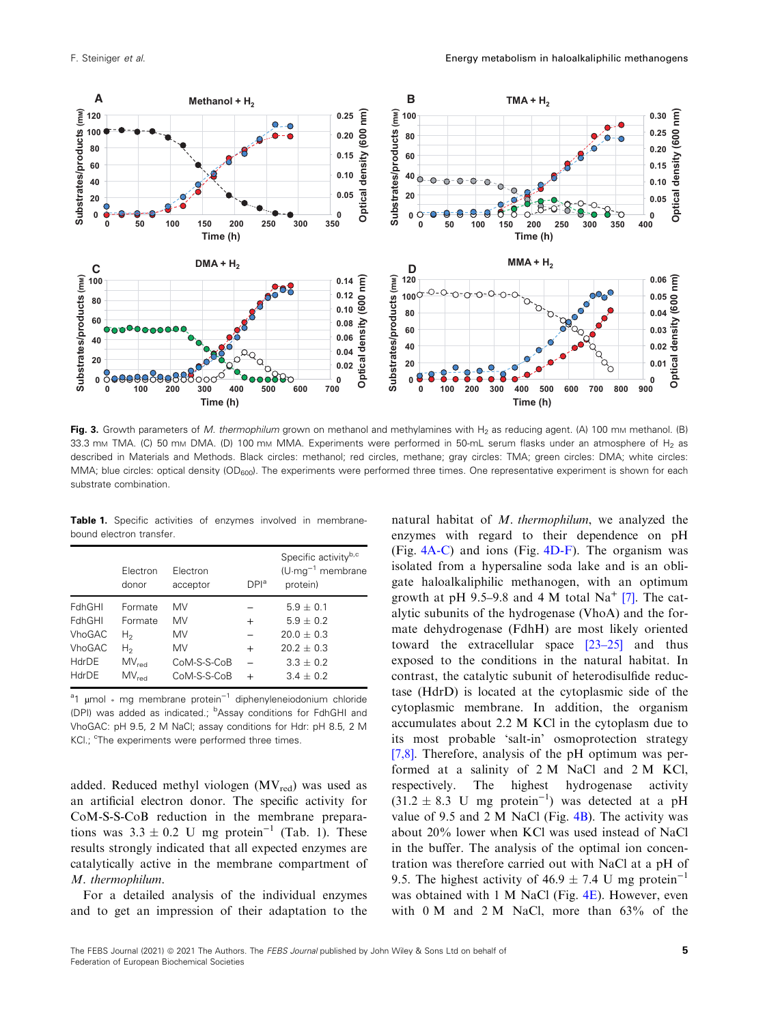<span id="page-5-0"></span>

Fig. 3. Growth parameters of M. thermophilum grown on methanol and methylamines with  $H_2$  as reducing agent. (A) 100 mm methanol. (B) 33.3 mm TMA. (C) 50 mm DMA. (D) 100 mm MMA. Experiments were performed in 50-mL serum flasks under an atmosphere of  $H_2$  as described in Materials and Methods. Black circles: methanol; red circles, methane; gray circles: TMA; green circles: DMA; white circles: MMA; blue circles: optical density  $OD_{600}$ ). The experiments were performed three times. One representative experiment is shown for each substrate combination.

Table 1. Specific activities of enzymes involved in membranebound electron transfer.

|               | Electron<br>donor | Electron<br>acceptor | DPI <sup>a</sup> | Specific activity <sup>b,c</sup><br>$(U \cdot mg^{-1})$ membrane<br>protein) |
|---------------|-------------------|----------------------|------------------|------------------------------------------------------------------------------|
| FdhGHI        | Formate           | MV                   |                  | $5.9 + 0.1$                                                                  |
| FdhGHI        | Formate           | <b>MV</b>            | $\ddot{}$        | $5.9 + 0.2$                                                                  |
| <b>VhoGAC</b> | H2                | MV                   |                  | $20.0 + 0.3$                                                                 |
| <b>VhoGAC</b> | H2                | <b>MV</b>            | $^{+}$           | $20.2 + 0.3$                                                                 |
| HdrDE         | MV <sub>rad</sub> | CoM-S-S-CoB          |                  | $3.3 + 0.2$                                                                  |
| HdrDE         | MV <sub>rad</sub> | CoM-S-S-CoB          | $\div$           | $3.4 + 0.2$                                                                  |

<sup>a</sup>1 µmol <sub>\*</sub> mg membrane protein<sup>-1</sup> diphenyleneiodonium chloride (DPI) was added as indicated.; <sup>b</sup>Assay conditions for FdhGHI and VhoGAC: pH 9.5, 2 M NaCl; assay conditions for Hdr: pH 8.5, 2 M KCl.; <sup>c</sup>The experiments were performed three times.

added. Reduced methyl viologen  $(MV_{red})$  was used as an artificial electron donor. The specific activity for CoM-S-S-CoB reduction in the membrane preparations was  $3.3 \pm 0.2$  U mg protein<sup>-1</sup> (Tab. 1). These results strongly indicated that all expected enzymes are catalytically active in the membrane compartment of M. thermophilum.

For a detailed analysis of the individual enzymes and to get an impression of their adaptation to the natural habitat of M. thermophilum, we analyzed the enzymes with regard to their dependence on pH (Fig. [4A-C\)](#page-6-0) and ions (Fig. [4D-F](#page-6-0)). The organism was isolated from a hypersaline soda lake and is an obligate haloalkaliphilic methanogen, with an optimum growth at pH 9.5–9.8 and 4 M total  $Na<sup>+</sup>$  [[7](#page-13-0)]. The catalytic subunits of the hydrogenase (VhoA) and the formate dehydrogenase (FdhH) are most likely oriented toward the extracellular space [[23](#page-13-0)–[25](#page-13-0)] and thus exposed to the conditions in the natural habitat. In contrast, the catalytic subunit of heterodisulfide reductase (HdrD) is located at the cytoplasmic side of the cytoplasmic membrane. In addition, the organism accumulates about 2.2 M KCl in the cytoplasm due to its most probable 'salt-in' osmoprotection strategy [[7,8\]](#page-13-0). Therefore, analysis of the pH optimum was performed at a salinity of 2 M NaCl and 2 M KCl, respectively. The highest hydrogenase activity  $(31.2 \pm 8.3 \text{ U} \text{ mg protein}^{-1})$  was detected at a pH value of 9.5 and 2 M NaCl (Fig.  $4B$ ). The activity was about 20% lower when KCl was used instead of NaCl in the buffer. The analysis of the optimal ion concentration was therefore carried out with NaCl at a pH of 9.5. The highest activity of 46.9  $\pm$  7.4 U mg protein<sup>-1</sup> was obtained with 1 M NaCl (Fig. [4E](#page-6-0)). However, even with 0 M and 2 M NaCl, more than 63% of the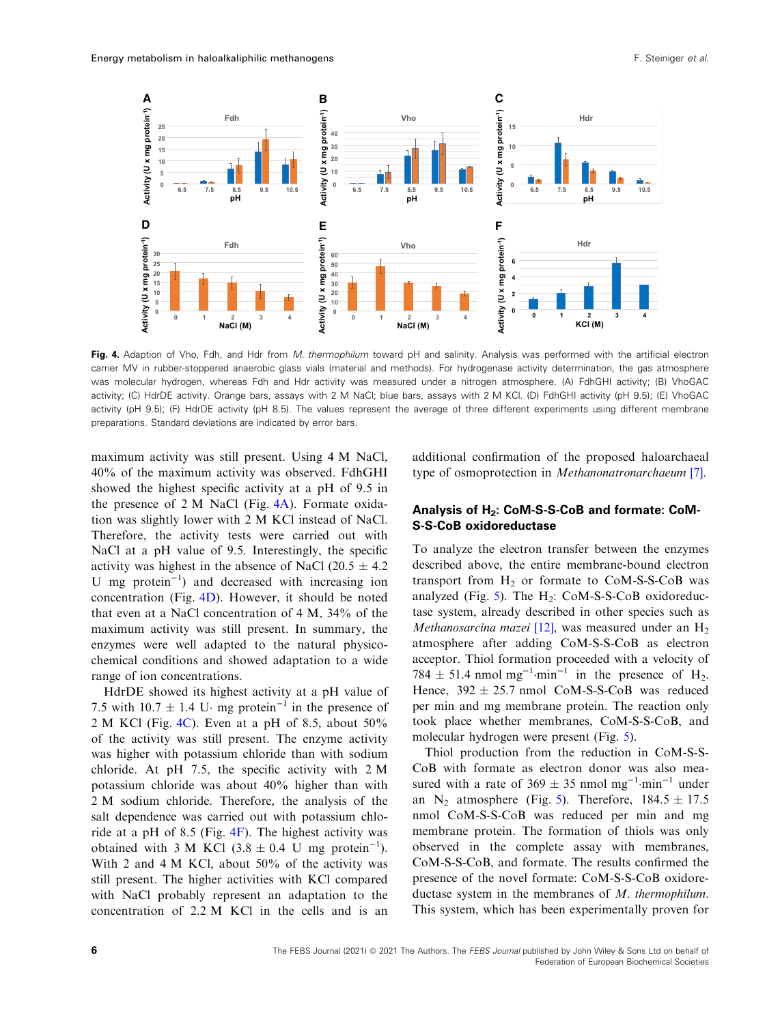<span id="page-6-0"></span>

Fig. 4. Adaption of Vho, Fdh, and Hdr from M. thermophilum toward pH and salinity. Analysis was performed with the artificial electron carrier MV in rubber-stoppered anaerobic glass vials (material and methods). For hydrogenase activity determination, the gas atmosphere was molecular hydrogen, whereas Fdh and Hdr activity was measured under a nitrogen atmosphere. (A) FdhGHI activity; (B) VhoGAC activity; (C) HdrDE activity. Orange bars, assays with 2 M NaCl; blue bars, assays with 2 M KCl. (D) FdhGHI activity (pH 9.5); (E) VhoGAC activity (pH 9.5); (F) HdrDE activity (pH 8.5). The values represent the average of three different experiments using different membrane preparations. Standard deviations are indicated by error bars.

maximum activity was still present. Using 4 M NaCl, 40% of the maximum activity was observed. FdhGHI showed the highest specific activity at a pH of 9.5 in the presence of 2 M NaCl (Fig. 4A). Formate oxidation was slightly lower with 2 M KCl instead of NaCl. Therefore, the activity tests were carried out with NaCl at a pH value of 9.5. Interestingly, the specific activity was highest in the absence of NaCl (20.5  $\pm$  4.2) U mg protein−<sup>1</sup> ) and decreased with increasing ion concentration (Fig. 4D). However, it should be noted that even at a NaCl concentration of 4 M, 34% of the maximum activity was still present. In summary, the enzymes were well adapted to the natural physicochemical conditions and showed adaptation to a wide range of ion concentrations.

HdrDE showed its highest activity at a pH value of 7.5 with  $10.7 \pm 1.4$  U⋅ mg protein<sup>-1</sup> in the presence of 2 M KCl (Fig. 4C). Even at a pH of 8.5, about  $50\%$ of the activity was still present. The enzyme activity was higher with potassium chloride than with sodium chloride. At pH 7.5, the specific activity with 2 M potassium chloride was about 40% higher than with 2 M sodium chloride. Therefore, the analysis of the salt dependence was carried out with potassium chloride at a pH of 8.5 (Fig.  $4F$ ). The highest activity was obtained with 3 M KCl (3.8  $\pm$  0.4 U mg protein<sup>-1</sup>). With 2 and 4 M KCl, about 50% of the activity was still present. The higher activities with KCl compared with NaCl probably represent an adaptation to the concentration of 2.2 M KCl in the cells and is an

additional confirmation of the proposed haloarchaeal type of osmoprotection in Methanonatronarchaeum [[7](#page-13-0)].

## Analysis of H<sub>2</sub>: CoM-S-S-CoB and formate: CoM-S-S-CoB oxidoreductase

To analyze the electron transfer between the enzymes described above, the entire membrane-bound electron transport from  $H_2$  or formate to CoM-S-S-CoB was analyzed (Fig. [5\)](#page-7-0). The  $H_2$ : CoM-S-S-CoB oxidoreductase system, already described in other species such as *Methanosarcina mazei* [[12](#page-13-0)], was measured under an  $H_2$ atmosphere after adding CoM-S-S-CoB as electron acceptor. Thiol formation proceeded with a velocity of 784  $\pm$  51.4 nmol mg<sup>-1</sup>·min<sup>-1</sup> in the presence of H<sub>2</sub>. Hence,  $392 \pm 25.7$  nmol CoM-S-S-CoB was reduced per min and mg membrane protein. The reaction only took place whether membranes, CoM-S-S-CoB, and molecular hydrogen were present (Fig. [5\)](#page-7-0).

Thiol production from the reduction in CoM-S-S-CoB with formate as electron donor was also measured with a rate of  $369 \pm 35$  nmol mg<sup>-1</sup>·min<sup>-1</sup> under an N<sub>2</sub> atmosphere (Fig. [5](#page-7-0)). Therefore,  $184.5 \pm 17.5$ nmol CoM-S-S-CoB was reduced per min and mg membrane protein. The formation of thiols was only observed in the complete assay with membranes, CoM-S-S-CoB, and formate. The results confirmed the presence of the novel formate: CoM-S-S-CoB oxidoreductase system in the membranes of M. thermophilum. This system, which has been experimentally proven for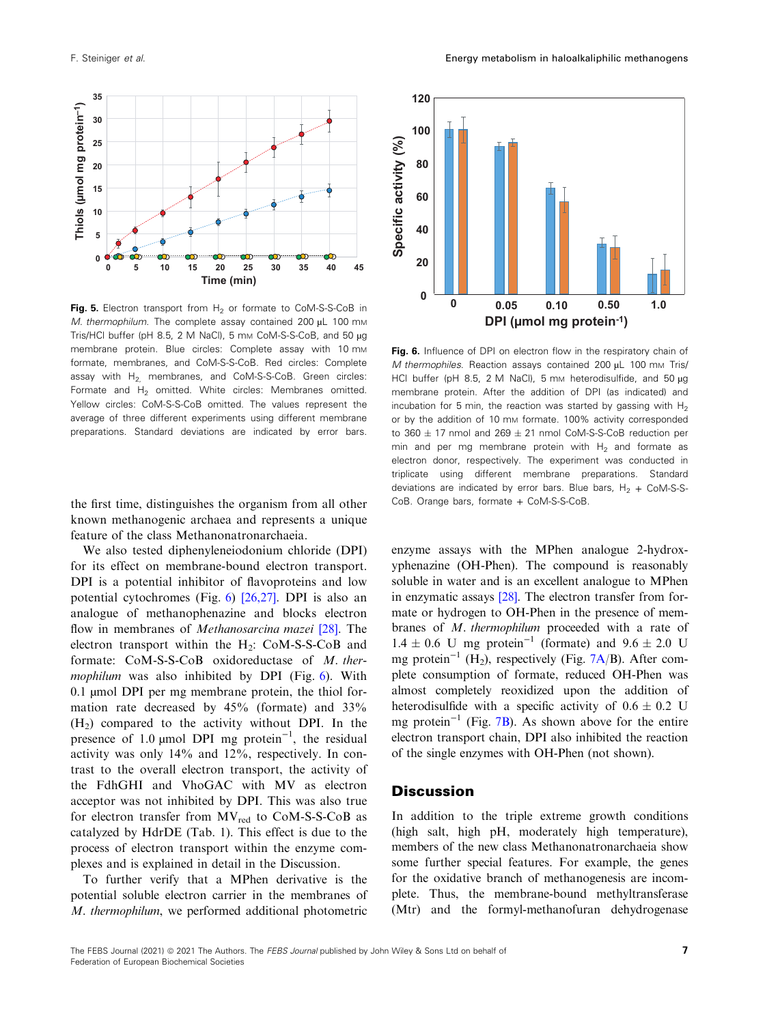<span id="page-7-0"></span>

Fig. 5. Electron transport from  $H_2$  or formate to CoM-S-S-CoB in M. thermophilum. The complete assay contained 200 µL 100 mm Tris/HCl buffer (pH 8.5, 2 M NaCl), 5 mm CoM-S-S-CoB, and 50 µg membrane protein. Blue circles: Complete assay with 10 mm formate, membranes, and CoM-S-S-CoB. Red circles: Complete assay with  $H_2$ , membranes, and CoM-S-S-CoB. Green circles: Formate and H<sub>2</sub> omitted. White circles: Membranes omitted. Yellow circles: CoM-S-S-CoB omitted. The values represent the average of three different experiments using different membrane preparations. Standard deviations are indicated by error bars.

the first time, distinguishes the organism from all other known methanogenic archaea and represents a unique feature of the class Methanonatronarchaeia.

We also tested diphenyleneiodonium chloride (DPI) for its effect on membrane-bound electron transport. DPI is a potential inhibitor of flavoproteins and low potential cytochromes (Fig. 6) [[26,27](#page-14-0)]. DPI is also an analogue of methanophenazine and blocks electron flow in membranes of *Methanosarcina mazei* [\[28\]](#page-14-0). The electron transport within the  $H_2$ : CoM-S-S-CoB and formate: CoM-S-S-CoB oxidoreductase of M. thermophilum was also inhibited by DPI (Fig.  $6$ ). With 0.1 µmol DPI per mg membrane protein, the thiol formation rate decreased by 45% (formate) and 33%  $(H<sub>2</sub>)$  compared to the activity without DPI. In the presence of 1.0 µmol DPI mg protein<sup>-1</sup>, the residual activity was only 14% and 12%, respectively. In contrast to the overall electron transport, the activity of the FdhGHI and VhoGAC with MV as electron acceptor was not inhibited by DPI. This was also true for electron transfer from  $MV_{red}$  to CoM-S-S-CoB as catalyzed by HdrDE (Tab. 1). This effect is due to the process of electron transport within the enzyme complexes and is explained in detail in the Discussion.

To further verify that a MPhen derivative is the potential soluble electron carrier in the membranes of M. thermophilum, we performed additional photometric



Fig. 6. Influence of DPI on electron flow in the respiratory chain of M thermophiles. Reaction assays contained 200 uL 100 mm Tris/ HCl buffer (pH 8.5, 2 M NaCl), 5 mm heterodisulfide, and 50 ug membrane protein. After the addition of DPI (as indicated) and incubation for 5 min, the reaction was started by gassing with  $H_2$ or by the addition of 10 mm formate. 100% activity corresponded to  $360 \pm 17$  nmol and  $269 \pm 21$  nmol CoM-S-S-CoB reduction per min and per mg membrane protein with  $H_2$  and formate as electron donor, respectively. The experiment was conducted in triplicate using different membrane preparations. Standard deviations are indicated by error bars. Blue bars,  $H_2 + CoM-S-S-$ CoB. Orange bars, formate + CoM-S-S-CoB.

enzyme assays with the MPhen analogue 2-hydroxyphenazine (OH-Phen). The compound is reasonably soluble in water and is an excellent analogue to MPhen in enzymatic assays [\[28](#page-14-0)]. The electron transfer from formate or hydrogen to OH-Phen in the presence of membranes of M. thermophilum proceeded with a rate of  $1.4 \pm 0.6$  U mg protein<sup>-1</sup> (formate) and  $9.6 \pm 2.0$  U mg protein<sup>-1</sup> (H<sub>2</sub>), respectively (Fig. [7A](#page-8-0)/B). After complete consumption of formate, reduced OH-Phen was almost completely reoxidized upon the addition of heterodisulfide with a specific activity of  $0.6 \pm 0.2$  U mg protein<sup>-1</sup> (Fig. [7B](#page-8-0)). As shown above for the entire electron transport chain, DPI also inhibited the reaction of the single enzymes with OH-Phen (not shown).

#### **Discussion**

In addition to the triple extreme growth conditions (high salt, high pH, moderately high temperature), members of the new class Methanonatronarchaeia show some further special features. For example, the genes for the oxidative branch of methanogenesis are incomplete. Thus, the membrane-bound methyltransferase (Mtr) and the formyl-methanofuran dehydrogenase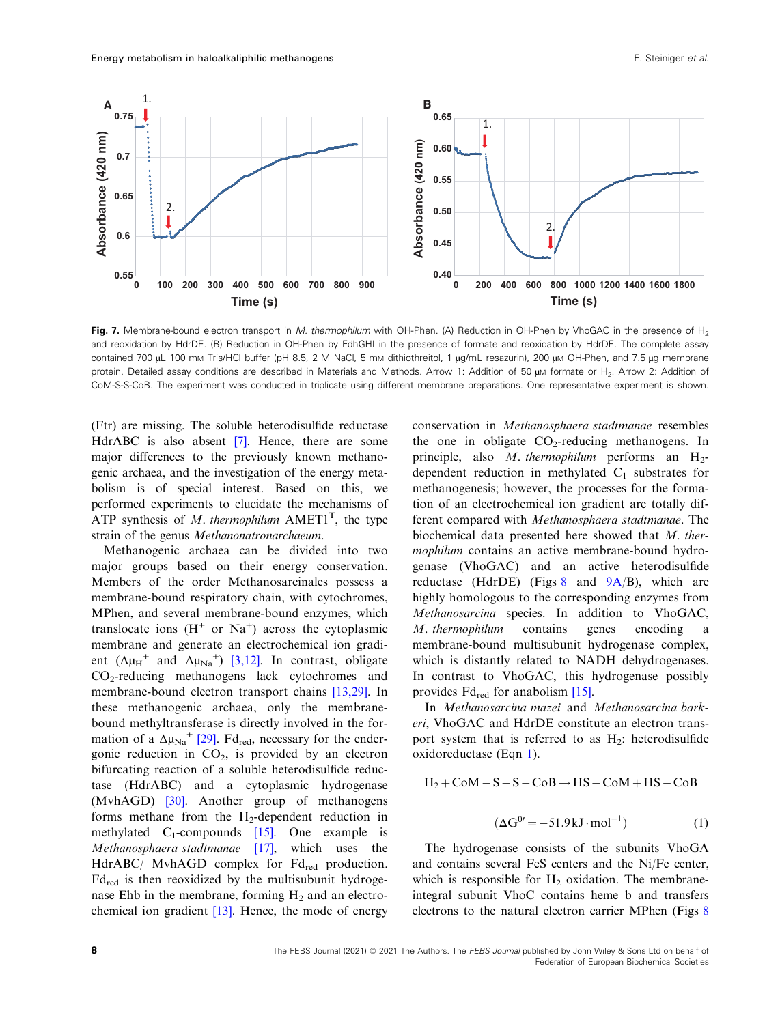<span id="page-8-0"></span>

Fig. 7. Membrane-bound electron transport in M. thermophilum with OH-Phen. (A) Reduction in OH-Phen by VhoGAC in the presence of H<sub>2</sub> and reoxidation by HdrDE. (B) Reduction in OH-Phen by FdhGHI in the presence of formate and reoxidation by HdrDE. The complete assay contained 700 µL 100 mm Tris/HCl buffer (pH 8.5, 2 M NaCl, 5 mm dithiothreitol, 1 µg/mL resazurin), 200 µm OH-Phen, and 7.5 µg membrane protein. Detailed assay conditions are described in Materials and Methods. Arrow 1: Addition of 50 µm formate or H<sub>2</sub>. Arrow 2: Addition of CoM-S-S-CoB. The experiment was conducted in triplicate using different membrane preparations. One representative experiment is shown.

(Ftr) are missing. The soluble heterodisulfide reductase HdrABC is also absent [\[7\]](#page-13-0). Hence, there are some major differences to the previously known methanogenic archaea, and the investigation of the energy metabolism is of special interest. Based on this, we performed experiments to elucidate the mechanisms of ATP synthesis of M. thermophilum  $AMET1<sup>T</sup>$ , the type strain of the genus Methanonatronarchaeum.

Methanogenic archaea can be divided into two major groups based on their energy conservation. Members of the order Methanosarcinales possess a membrane-bound respiratory chain, with cytochromes, MPhen, and several membrane-bound enzymes, which translocate ions  $(H<sup>+</sup>$  or Na<sup>+</sup>) across the cytoplasmic membrane and generate an electrochemical ion gradient  $(\Delta \mu_H^+$  and  $\Delta \mu_{Na}^+)$  [\[3,12\]](#page-13-0). In contrast, obligate CO2-reducing methanogens lack cytochromes and membrane-bound electron transport chains [[13,29](#page-13-0)]. In these methanogenic archaea, only the membranebound methyltransferase is directly involved in the formation of a  $\Delta \mu_{\text{Na}}$ <sup>+</sup> [\[29\]](#page-14-0). Fd<sub>red</sub>, necessary for the endergonic reduction in  $CO<sub>2</sub>$ , is provided by an electron bifurcating reaction of a soluble heterodisulfide reductase (HdrABC) and a cytoplasmic hydrogenase (MvhAGD) [\[30\]](#page-14-0). Another group of methanogens forms methane from the  $H_2$ -dependent reduction in methylated  $C_1$ -compounds [[15](#page-13-0)]. One example is Methanosphaera stadtmanae [[17](#page-13-0)], which uses the  $HdrABC/$  MvhAGD complex for  $Fd_{red}$  production.  $Fd_{\text{red}}$  is then reoxidized by the multisubunit hydrogenase Ehb in the membrane, forming  $H_2$  and an electrochemical ion gradient [\[13\]](#page-13-0). Hence, the mode of energy

conservation in Methanosphaera stadtmanae resembles the one in obligate  $CO<sub>2</sub>$ -reducing methanogens. In principle, also M. thermophilum performs an  $H_2$ dependent reduction in methylated  $C_1$  substrates for methanogenesis; however, the processes for the formation of an electrochemical ion gradient are totally different compared with Methanosphaera stadtmanae. The biochemical data presented here showed that M. thermophilum contains an active membrane-bound hydrogenase (VhoGAC) and an active heterodisulfide reductase (HdrDE) (Figs [8](#page-9-0) and  $9A/B$  $9A/B$ ), which are highly homologous to the corresponding enzymes from Methanosarcina species. In addition to VhoGAC, M. thermophilum contains genes encoding a membrane-bound multisubunit hydrogenase complex, which is distantly related to NADH dehydrogenases. In contrast to VhoGAC, this hydrogenase possibly provides  $Fd_{\text{red}}$  for anabolism [\[15\]](#page-13-0).

In Methanosarcina mazei and Methanosarcina barkeri, VhoGAC and HdrDE constitute an electron transport system that is referred to as  $H_2$ : heterodisulfide oxidoreductase (Eqn 1).

$$
H_2\!+\!CoM\!-\!S\!-\!S\!-\!CoB\!\rightarrow\! HS\!-\!CoM\!+\!HS\!-\!CoB
$$

$$
(\Delta G^{0} = -51.9 \,\mathrm{kJ \cdot mol^{-1}}) \tag{1}
$$

The hydrogenase consists of the subunits VhoGA and contains several FeS centers and the Ni/Fe center, which is responsible for  $H_2$  oxidation. The membraneintegral subunit VhoC contains heme b and transfers electrons to the natural electron carrier MPhen (Figs [8](#page-9-0)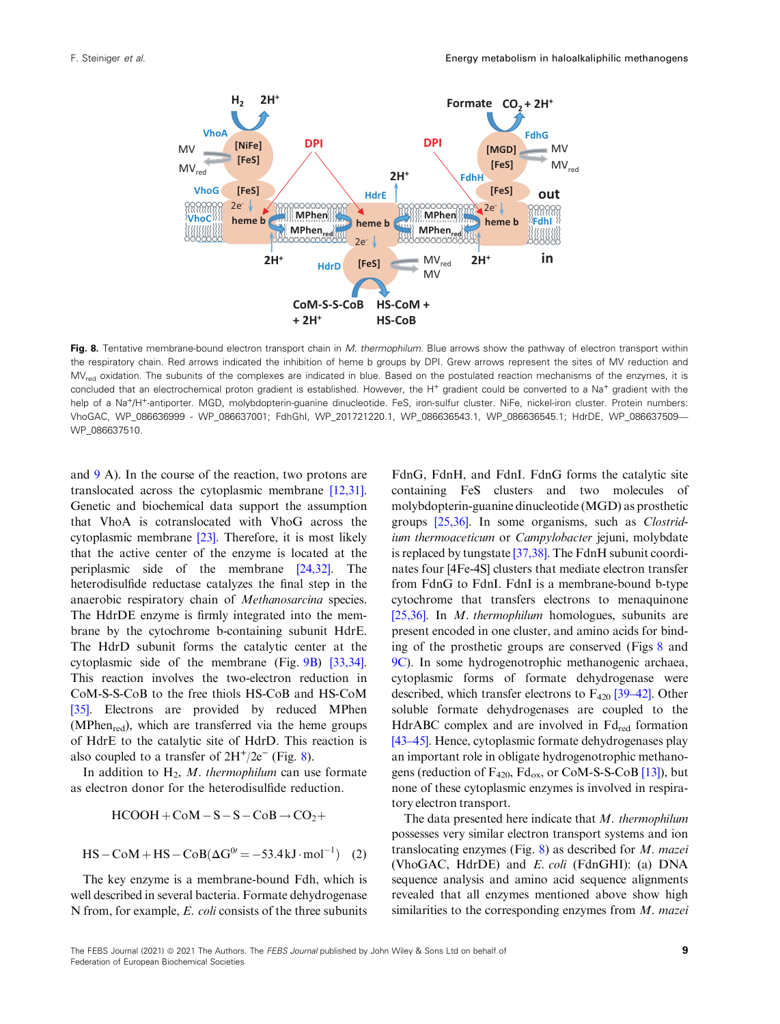<span id="page-9-0"></span>

Fig. 8. Tentative membrane-bound electron transport chain in M. thermophilum. Blue arrows show the pathway of electron transport within the respiratory chain. Red arrows indicated the inhibition of heme b groups by DPI. Grew arrows represent the sites of MV reduction and MV<sub>red</sub> oxidation. The subunits of the complexes are indicated in blue. Based on the postulated reaction mechanisms of the enzymes, it is concluded that an electrochemical proton gradient is established. However, the H<sup>+</sup> gradient could be converted to a Na<sup>+</sup> gradient with the help of a Na<sup>+</sup>/H<sup>+</sup>-antiporter. MGD, molybdopterin-guanine dinucleotide. FeS, iron-sulfur cluster. NiFe, nickel-iron cluster. Protein numbers: VhoGAC, WP\_086636999 - WP\_086637001; FdhGhI, WP\_201721220.1, WP\_086636543.1, WP\_086636545.1; HdrDE, WP\_086637509— WP\_086637510.

and [9](#page-10-0) A). In the course of the reaction, two protons are translocated across the cytoplasmic membrane [\[12,31](#page-13-0)]. Genetic and biochemical data support the assumption that VhoA is cotranslocated with VhoG across the cytoplasmic membrane [\[23](#page-13-0)]. Therefore, it is most likely that the active center of the enzyme is located at the periplasmic side of the membrane [\[24,32\]](#page-13-0). The heterodisulfide reductase catalyzes the final step in the anaerobic respiratory chain of Methanosarcina species. The HdrDE enzyme is firmly integrated into the membrane by the cytochrome b-containing subunit HdrE. The HdrD subunit forms the catalytic center at the cytoplasmic side of the membrane (Fig. [9B](#page-10-0)) [\[33,34](#page-14-0)]. This reaction involves the two-electron reduction in CoM-S-S-CoB to the free thiols HS-CoB and HS-CoM [\[35\]](#page-14-0). Electrons are provided by reduced MPhen (MPhen $_{\text{red}}$ ), which are transferred via the heme groups of HdrE to the catalytic site of HdrD. This reaction is also coupled to a transfer of  $2H^+/2e^-$  (Fig. 8).

In addition to  $H_2$ , M. thermophilum can use formate as electron donor for the heterodisulfide reduction.

$$
HCOOH + CoM-S-S-CoB \rightarrow CO2+
$$

$$
HS - CoM + HS - CoB(\Delta G^{0'} = -53.4 \text{ kJ} \cdot \text{mol}^{-1})
$$
 (2)

The key enzyme is a membrane-bound Fdh, which is well described in several bacteria. Formate dehydrogenase N from, for example, E. coli consists of the three subunits

FdnG, FdnH, and FdnI. FdnG forms the catalytic site containing FeS clusters and two molecules of molybdopterin-guanine dinucleotide (MGD) as prosthetic groups [\[25,36](#page-13-0)]. In some organisms, such as Clostridium thermoaceticum or Campylobacter jejuni, molybdate is replaced by tungstate [\[37,38](#page-14-0)]. The FdnH subunit coordinates four [4Fe-4S] clusters that mediate electron transfer from FdnG to FdnI. FdnI is a membrane-bound b-type cytochrome that transfers electrons to menaquinone [[25,36\]](#page-13-0). In *M. thermophilum* homologues, subunits are present encoded in one cluster, and amino acids for binding of the prosthetic groups are conserved (Figs 8 and [9C](#page-10-0)). In some hydrogenotrophic methanogenic archaea, cytoplasmic forms of formate dehydrogenase were described, which transfer electrons to  $F_{420}$  [[39](#page-14-0)–[42\]](#page-14-0). Other soluble formate dehydrogenases are coupled to the HdrABC complex and are involved in  $Fd_{red}$  formation [[43](#page-14-0)–[45\]](#page-14-0). Hence, cytoplasmic formate dehydrogenases play an important role in obligate hydrogenotrophic methanogens (reduction of  $F_{420}$ ,  $Fd_{ox}$ , or CoM-S-S-CoB [\[13\]](#page-13-0)), but none of these cytoplasmic enzymes is involved in respiratory electron transport.

The data presented here indicate that M. thermophilum possesses very similar electron transport systems and ion translocating enzymes (Fig. 8) as described for M. mazei (VhoGAC, HdrDE) and E. coli (FdnGHI): (a) DNA sequence analysis and amino acid sequence alignments revealed that all enzymes mentioned above show high similarities to the corresponding enzymes from  $M$ . mazei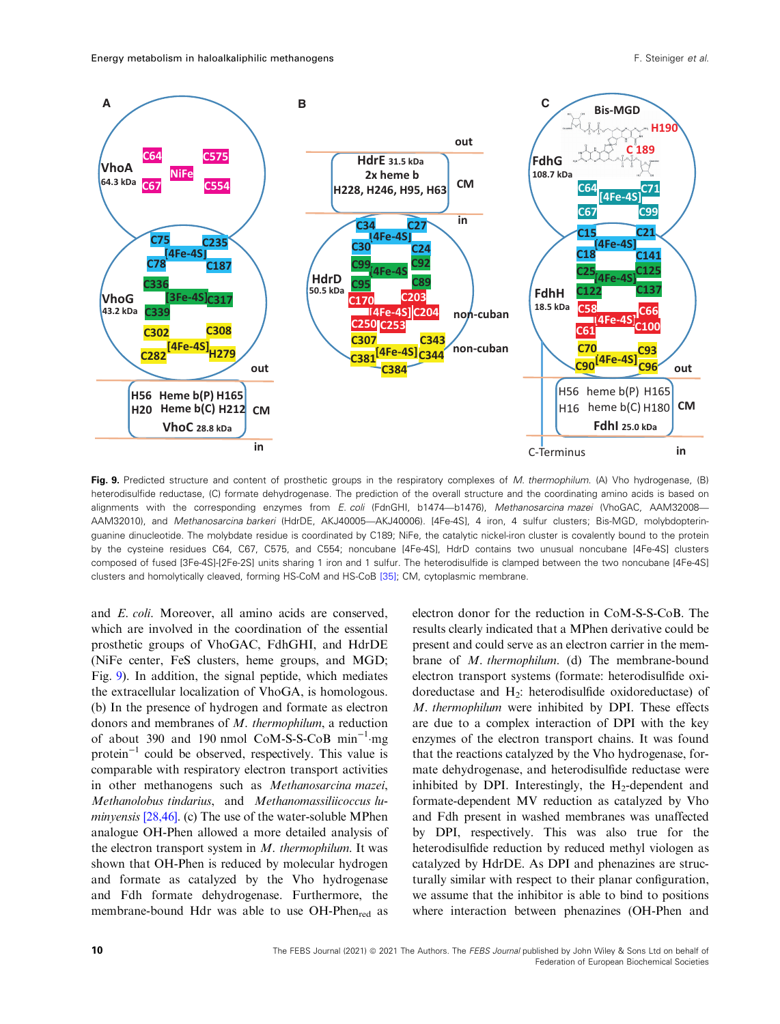<span id="page-10-0"></span>

Fig. 9. Predicted structure and content of prosthetic groups in the respiratory complexes of M. thermophilum. (A) Vho hydrogenase, (B) heterodisulfide reductase, (C) formate dehydrogenase. The prediction of the overall structure and the coordinating amino acids is based on alignments with the corresponding enzymes from E. coli (FdnGHI, b1474—b1476), Methanosarcina mazei (VhoGAC, AAM32008— AAM32010), and Methanosarcina barkeri (HdrDE, AKJ40005—AKJ40006). [4Fe-4S], 4 iron, 4 sulfur clusters; Bis-MGD, molybdopteringuanine dinucleotide. The molybdate residue is coordinated by C189; NiFe, the catalytic nickel-iron cluster is covalently bound to the protein by the cysteine residues C64, C67, C575, and C554; noncubane [4Fe-4S], HdrD contains two unusual noncubane [4Fe-4S] clusters composed of fused [3Fe-4S]-[2Fe-2S] units sharing 1 iron and 1 sulfur. The heterodisulfide is clamped between the two noncubane [4Fe-4S] clusters and homolytically cleaved, forming HS-CoM and HS-CoB [\[35\]](#page-14-0); CM, cytoplasmic membrane.

and E. coli. Moreover, all amino acids are conserved, which are involved in the coordination of the essential prosthetic groups of VhoGAC, FdhGHI, and HdrDE (NiFe center, FeS clusters, heme groups, and MGD; Fig. 9). In addition, the signal peptide, which mediates the extracellular localization of VhoGA, is homologous. (b) In the presence of hydrogen and formate as electron donors and membranes of M. thermophilum, a reduction of about 390 and 190 nmol CoM-S-S-CoB min−<sup>1</sup> mg protein−<sup>1</sup> could be observed, respectively. This value is comparable with respiratory electron transport activities in other methanogens such as Methanosarcina mazei, Methanolobus tindarius, and Methanomassiliicoccus lu-minyensis [[28,46\]](#page-14-0). (c) The use of the water-soluble MPhen analogue OH-Phen allowed a more detailed analysis of the electron transport system in  $M$ . thermophilum. It was shown that OH-Phen is reduced by molecular hydrogen and formate as catalyzed by the Vho hydrogenase and Fdh formate dehydrogenase. Furthermore, the membrane-bound Hdr was able to use OH-Phen<sub>red</sub> as

electron donor for the reduction in CoM-S-S-CoB. The results clearly indicated that a MPhen derivative could be present and could serve as an electron carrier in the membrane of M. thermophilum. (d) The membrane-bound electron transport systems (formate: heterodisulfide oxidoreductase and  $H_2$ : heterodisulfide oxidoreductase) of M. thermophilum were inhibited by DPI. These effects are due to a complex interaction of DPI with the key enzymes of the electron transport chains. It was found that the reactions catalyzed by the Vho hydrogenase, formate dehydrogenase, and heterodisulfide reductase were inhibited by DPI. Interestingly, the  $H_2$ -dependent and formate-dependent MV reduction as catalyzed by Vho and Fdh present in washed membranes was unaffected by DPI, respectively. This was also true for the heterodisulfide reduction by reduced methyl viologen as catalyzed by HdrDE. As DPI and phenazines are structurally similar with respect to their planar configuration, we assume that the inhibitor is able to bind to positions where interaction between phenazines (OH-Phen and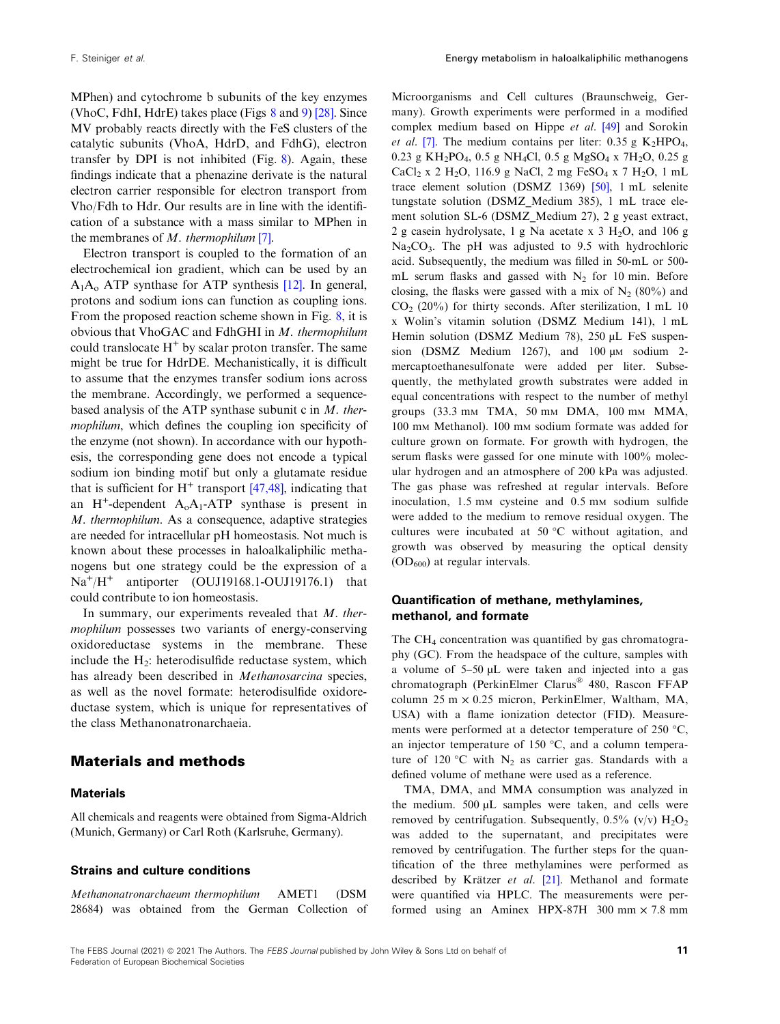MPhen) and cytochrome b subunits of the key enzymes (VhoC, FdhI, HdrE) takes place (Figs [8](#page-9-0) and [9](#page-10-0)) [\[28](#page-14-0)]. Since MV probably reacts directly with the FeS clusters of the catalytic subunits (VhoA, HdrD, and FdhG), electron transfer by DPI is not inhibited (Fig. [8](#page-9-0)). Again, these findings indicate that a phenazine derivate is the natural electron carrier responsible for electron transport from Vho/Fdh to Hdr. Our results are in line with the identification of a substance with a mass similar to MPhen in the membranes of M. thermophilum [[7](#page-13-0)].

Electron transport is coupled to the formation of an electrochemical ion gradient, which can be used by an  $A_1A_0$  ATP synthase for ATP synthesis [\[12](#page-13-0)]. In general, protons and sodium ions can function as coupling ions. From the proposed reaction scheme shown in Fig. [8](#page-9-0), it is obvious that VhoGAC and FdhGHI in M. thermophilum could translocate  $H^+$  by scalar proton transfer. The same might be true for HdrDE. Mechanistically, it is difficult to assume that the enzymes transfer sodium ions across the membrane. Accordingly, we performed a sequencebased analysis of the ATP synthase subunit c in  $M$ . thermophilum, which defines the coupling ion specificity of the enzyme (not shown). In accordance with our hypothesis, the corresponding gene does not encode a typical sodium ion binding motif but only a glutamate residue that is sufficient for  $H^+$  transport [\[47,48](#page-14-0)], indicating that an H<sup>+</sup>-dependent  $A_0A_1$ -ATP synthase is present in M. thermophilum. As a consequence, adaptive strategies are needed for intracellular pH homeostasis. Not much is known about these processes in haloalkaliphilic methanogens but one strategy could be the expression of a Na<sup>+</sup>/H<sup>+</sup> antiporter (OUJ19168.1-OUJ19176.1) that could contribute to ion homeostasis.

In summary, our experiments revealed that M. thermophilum possesses two variants of energy-conserving oxidoreductase systems in the membrane. These include the  $H_2$ : heterodisulfide reductase system, which has already been described in Methanosarcina species, as well as the novel formate: heterodisulfide oxidoreductase system, which is unique for representatives of the class Methanonatronarchaeia.

## Materials and methods

#### **Materials**

All chemicals and reagents were obtained from Sigma-Aldrich (Munich, Germany) or Carl Roth (Karlsruhe, Germany).

#### Strains and culture conditions

Methanonatronarchaeum thermophilum AMET1 (DSM 28684) was obtained from the German Collection of

Microorganisms and Cell cultures (Braunschweig, Germany). Growth experiments were performed in a modified complex medium based on Hippe et al. [\[49\]](#page-14-0) and Sorokin *et al.* [\[7\]](#page-13-0). The medium contains per liter:  $0.35 \text{ g } K_2\text{HPO}_4$ , 0.23 g KH<sub>2</sub>PO<sub>4</sub>, 0.5 g NH<sub>4</sub>Cl, 0.5 g MgSO<sub>4</sub> x 7H<sub>2</sub>O, 0.25 g CaCl<sub>2</sub> x 2 H<sub>2</sub>O, 116.9 g NaCl, 2 mg FeSO<sub>4</sub> x 7 H<sub>2</sub>O, 1 mL trace element solution (DSMZ 1369) [\[50\]](#page-14-0), 1 mL selenite tungstate solution (DSMZ\_Medium 385), 1 mL trace element solution SL-6 (DSMZ\_Medium 27), 2 g yeast extract, 2 g casein hydrolysate, 1 g Na acetate x  $3 H<sub>2</sub>O$ , and 106 g  $Na<sub>2</sub>CO<sub>3</sub>$ . The pH was adjusted to 9.5 with hydrochloric acid. Subsequently, the medium was filled in 50-mL or 500 mL serum flasks and gassed with  $N_2$  for 10 min. Before closing, the flasks were gassed with a mix of  $N_2$  (80%) and  $CO<sub>2</sub> (20%)$  for thirty seconds. After sterilization, 1 mL 10 x Wolin's vitamin solution (DSMZ Medium 141), 1 mL Hemin solution (DSMZ Medium 78), 250 µL FeS suspension (DSMZ Medium 1267), and 100  $\mu$ m sodium 2mercaptoethanesulfonate were added per liter. Subsequently, the methylated growth substrates were added in equal concentrations with respect to the number of methyl groups (33.3 mm TMA, 50 mm DMA, 100 mm MMA, 100 mM Methanol). 100 mM sodium formate was added for culture grown on formate. For growth with hydrogen, the serum flasks were gassed for one minute with 100% molecular hydrogen and an atmosphere of 200 kPa was adjusted. The gas phase was refreshed at regular intervals. Before inoculation, 1.5 mm cysteine and 0.5 mm sodium sulfide were added to the medium to remove residual oxygen. The cultures were incubated at 50 °C without agitation, and growth was observed by measuring the optical density  $(OD<sub>600</sub>)$  at regular intervals.

#### Quantification of methane, methylamines, methanol, and formate

The CH<sub>4</sub> concentration was quantified by gas chromatography (GC). From the headspace of the culture, samples with a volume of 5–50 µL were taken and injected into a gas chromatograph (PerkinElmer Clarus® 480, Rascon FFAP column  $25 \text{ m} \times 0.25 \text{ micron}$ , PerkinElmer, Waltham, MA, USA) with a flame ionization detector (FID). Measurements were performed at a detector temperature of 250 °C, an injector temperature of 150 °C, and a column temperature of 120 °C with  $N_2$  as carrier gas. Standards with a defined volume of methane were used as a reference.

TMA, DMA, and MMA consumption was analyzed in the medium. 500 µL samples were taken, and cells were removed by centrifugation. Subsequently,  $0.5\%$  (v/v)  $H_2O_2$ was added to the supernatant, and precipitates were removed by centrifugation. The further steps for the quantification of the three methylamines were performed as described by Krätzer et al. [\[21](#page-13-0)]. Methanol and formate were quantified via HPLC. The measurements were performed using an Aminex HPX-87H 300 mm × 7.8 mm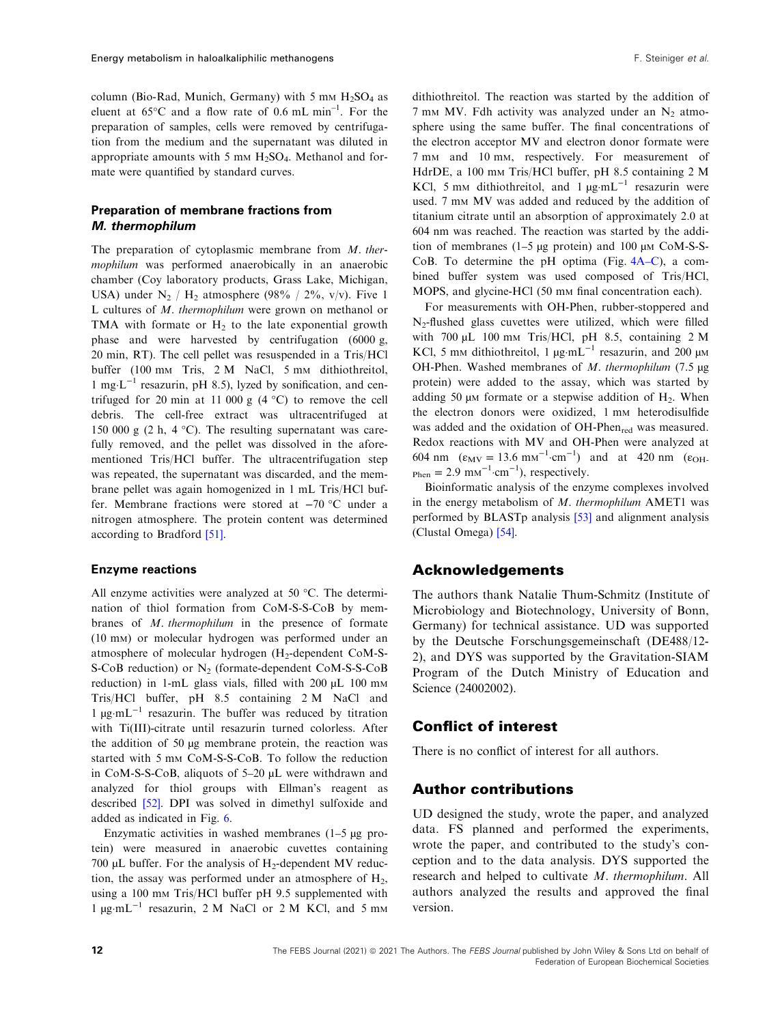column (Bio-Rad, Munich, Germany) with 5 mm  $H_2SO_4$  as eluent at  $65^{\circ}$ C and a flow rate of 0.6 mL min<sup>-1</sup>. For the preparation of samples, cells were removed by centrifugation from the medium and the supernatant was diluted in appropriate amounts with 5 mm  $H_2SO_4$ . Methanol and formate were quantified by standard curves.

## Preparation of membrane fractions from M. thermophilum

The preparation of cytoplasmic membrane from M. thermophilum was performed anaerobically in an anaerobic chamber (Coy laboratory products, Grass Lake, Michigan, USA) under  $N_2$  /  $H_2$  atmosphere (98% / 2%, v/v). Five 1 L cultures of M. thermophilum were grown on methanol or TMA with formate or  $H_2$  to the late exponential growth phase and were harvested by centrifugation (6000 g, 20 min, RT). The cell pellet was resuspended in a Tris/HCl buffer (100 mm Tris, 2 M NaCl, 5 mm dithiothreitol, 1 mg⋅L<sup> $-1$ </sup> resazurin, pH 8.5), lyzed by sonification, and centrifuged for 20 min at 11 000 g  $(4 °C)$  to remove the cell debris. The cell-free extract was ultracentrifuged at 150 000 g (2 h, 4  $^{\circ}$ C). The resulting supernatant was carefully removed, and the pellet was dissolved in the aforementioned Tris/HCl buffer. The ultracentrifugation step was repeated, the supernatant was discarded, and the membrane pellet was again homogenized in 1 mL Tris/HCl buffer. Membrane fractions were stored at −70 °C under a nitrogen atmosphere. The protein content was determined according to Bradford [\[51\]](#page-14-0).

#### Enzyme reactions

All enzyme activities were analyzed at 50 °C. The determination of thiol formation from CoM-S-S-CoB by membranes of M. thermophilum in the presence of formate (10 mM) or molecular hydrogen was performed under an atmosphere of molecular hydrogen  $(H_2$ -dependent CoM-S-S-CoB reduction) or  $N_2$  (formate-dependent CoM-S-S-CoB reduction) in 1-mL glass vials, filled with 200  $\mu$ L 100 mm Tris/HCl buffer, pH 8.5 containing 2 M NaCl and 1  $\mu$ g·mL<sup>-1</sup> resazurin. The buffer was reduced by titration with Ti(III)-citrate until resazurin turned colorless. After the addition of 50 µg membrane protein, the reaction was started with 5 mm CoM-S-S-CoB. To follow the reduction in CoM-S-S-CoB, aliquots of 5–20 µL were withdrawn and analyzed for thiol groups with Ellman's reagent as described [\[52](#page-15-0)]. DPI was solved in dimethyl sulfoxide and added as indicated in Fig. [6](#page-7-0).

Enzymatic activities in washed membranes (1–5 µg protein) were measured in anaerobic cuvettes containing 700  $\mu$ L buffer. For the analysis of H<sub>2</sub>-dependent MV reduction, the assay was performed under an atmosphere of  $H_2$ , using a 100 mm Tris/HCl buffer pH 9.5 supplemented with  $1 \mu$ g·mL<sup>-1</sup> resazurin, 2 M NaCl or 2 M KCl, and 5 mm

dithiothreitol. The reaction was started by the addition of 7 mm MV. Fdh activity was analyzed under an  $N_2$  atmosphere using the same buffer. The final concentrations of the electron acceptor MV and electron donor formate were 7 mM and 10 mM, respectively. For measurement of HdrDE, a 100 mm Tris/HCl buffer, pH 8.5 containing 2 M KCl, 5 mm dithiothreitol, and 1  $\mu$ g·mL<sup>-1</sup> resazurin were used. 7 mm MV was added and reduced by the addition of titanium citrate until an absorption of approximately 2.0 at 604 nm was reached. The reaction was started by the addition of membranes  $(1-5 \mu g)$  protein) and 100  $\mu$ M CoM-S-S-CoB. To determine the pH optima (Fig. [4A](#page-6-0)–C), a combined buffer system was used composed of Tris/HCl, MOPS, and glycine-HCl (50 mM final concentration each).

For measurements with OH-Phen, rubber-stoppered and N2-flushed glass cuvettes were utilized, which were filled with  $700 \mu L$  100 mm Tris/HCl, pH 8.5, containing 2 M KCl, 5 mm dithiothreitol, 1  $\mu$ g·mL<sup>-1</sup> resazurin, and 200  $\mu$ M OH-Phen. Washed membranes of M. thermophilum (7.5 µg protein) were added to the assay, which was started by adding 50  $\mu$ M formate or a stepwise addition of H<sub>2</sub>. When the electron donors were oxidized, 1 mm heterodisulfide was added and the oxidation of OH-Phen<sub>red</sub> was measured. Redox reactions with MV and OH-Phen were analyzed at 604 nm  $(\epsilon_{MV} = 13.6 \text{ mm}^{-1} \cdot \text{cm}^{-1})$  and at 420 nm  $(\epsilon_{OH}$  $_{\text{Phen}} = 2.9 \text{ mm}^{-1} \cdot \text{cm}^{-1}$ ), respectively.

Bioinformatic analysis of the enzyme complexes involved in the energy metabolism of  $M$ . thermophilum AMET1 was performed by BLASTp analysis [[53\]](#page-15-0) and alignment analysis (Clustal Omega) [[54\]](#page-15-0).

## Acknowledgements

The authors thank Natalie Thum-Schmitz (Institute of Microbiology and Biotechnology, University of Bonn, Germany) for technical assistance. UD was supported by the Deutsche Forschungsgemeinschaft (DE488/12- 2), and DYS was supported by the Gravitation-SIAM Program of the Dutch Ministry of Education and Science (24002002).

## Conflict of interest

There is no conflict of interest for all authors.

#### Author contributions

UD designed the study, wrote the paper, and analyzed data. FS planned and performed the experiments, wrote the paper, and contributed to the study's conception and to the data analysis. DYS supported the research and helped to cultivate M. thermophilum. All authors analyzed the results and approved the final version.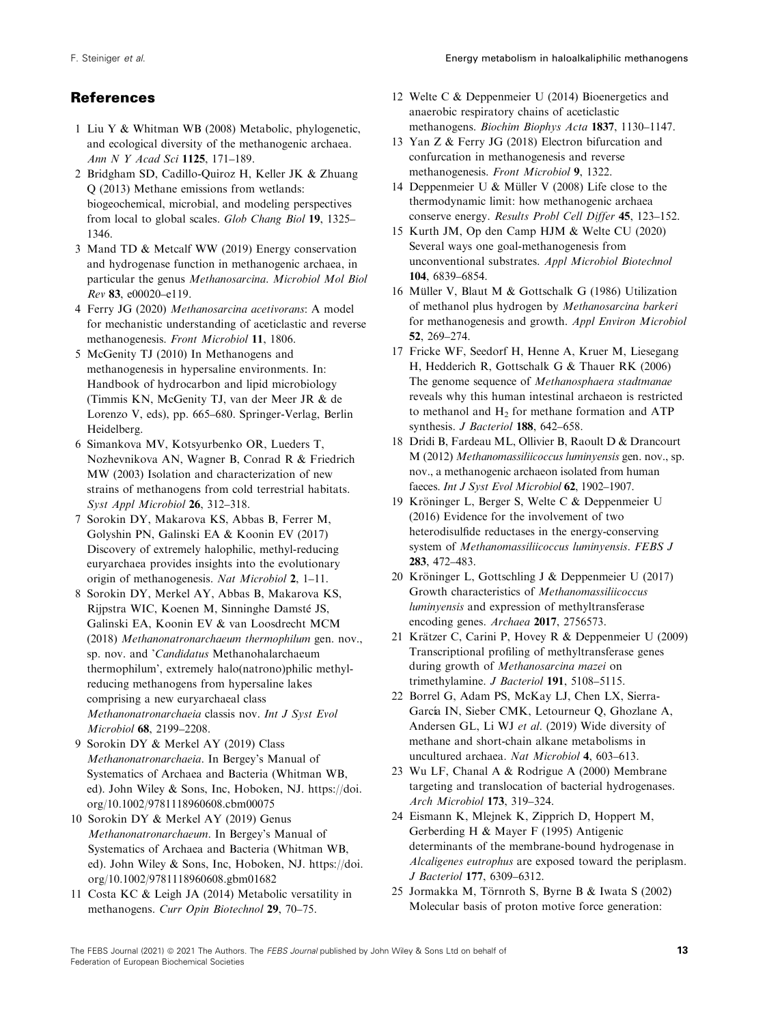# <span id="page-13-0"></span>References

- 1 Liu Y & Whitman WB (2008) Metabolic, phylogenetic, and ecological diversity of the methanogenic archaea. Ann N Y Acad Sci 1125, 171–189.
- 2 Bridgham SD, Cadillo-Quiroz H, Keller JK & Zhuang Q (2013) Methane emissions from wetlands: biogeochemical, microbial, and modeling perspectives from local to global scales. Glob Chang Biol 19, 1325– 1346.
- 3 Mand TD & Metcalf WW (2019) Energy conservation and hydrogenase function in methanogenic archaea, in particular the genus Methanosarcina. Microbiol Mol Biol Rev 83, e00020–e119.
- 4 Ferry JG (2020) Methanosarcina acetivorans: A model for mechanistic understanding of aceticlastic and reverse methanogenesis. Front Microbiol 11, 1806.
- 5 McGenity TJ (2010) In Methanogens and methanogenesis in hypersaline environments. In: Handbook of hydrocarbon and lipid microbiology (Timmis KN, McGenity TJ, van der Meer JR & de Lorenzo V, eds), pp. 665–680. Springer-Verlag, Berlin Heidelberg.
- 6 Simankova MV, Kotsyurbenko OR, Lueders T, Nozhevnikova AN, Wagner B, Conrad R & Friedrich MW (2003) Isolation and characterization of new strains of methanogens from cold terrestrial habitats. Syst Appl Microbiol 26, 312–318.
- 7 Sorokin DY, Makarova KS, Abbas B, Ferrer M, Golyshin PN, Galinski EA & Koonin EV (2017) Discovery of extremely halophilic, methyl-reducing euryarchaea provides insights into the evolutionary origin of methanogenesis. Nat Microbiol 2, 1–11.
- 8 Sorokin DY, Merkel AY, Abbas B, Makarova KS, Rijpstra WIC, Koenen M, Sinninghe Damste JS, ´ Galinski EA, Koonin EV & van Loosdrecht MCM (2018) Methanonatronarchaeum thermophilum gen. nov., sp. nov. and 'Candidatus Methanohalarchaeum thermophilum', extremely halo(natrono)philic methylreducing methanogens from hypersaline lakes comprising a new euryarchaeal class Methanonatronarchaeia classis nov. Int J Syst Evol Microbiol 68, 2199–2208.
- 9 Sorokin DY & Merkel AY (2019) Class Methanonatronarchaeia. In Bergey's Manual of Systematics of Archaea and Bacteria (Whitman WB, ed). John Wiley & Sons, Inc, Hoboken, NJ. [https://doi.](https://doi.org/10.1002/9781118960608.cbm00075) [org/10.1002/9781118960608.cbm00075](https://doi.org/10.1002/9781118960608.cbm00075)
- 10 Sorokin DY & Merkel AY (2019) Genus Methanonatronarchaeum. In Bergey's Manual of Systematics of Archaea and Bacteria (Whitman WB, ed). John Wiley & Sons, Inc, Hoboken, NJ. [https://doi.](https://doi.org/10.1002/9781118960608.gbm01682) [org/10.1002/9781118960608.gbm01682](https://doi.org/10.1002/9781118960608.gbm01682)
- 11 Costa KC & Leigh JA (2014) Metabolic versatility in methanogens. Curr Opin Biotechnol 29, 70–75.
- 12 Welte C & Deppenmeier U (2014) Bioenergetics and anaerobic respiratory chains of aceticlastic methanogens. Biochim Biophys Acta 1837, 1130–1147.
- 13 Yan Z & Ferry JG (2018) Electron bifurcation and confurcation in methanogenesis and reverse methanogenesis. Front Microbiol 9, 1322.
- 14 Deppenmeier U & Müller V (2008) Life close to the thermodynamic limit: how methanogenic archaea conserve energy. Results Probl Cell Differ 45, 123–152.
- 15 Kurth JM, Op den Camp HJM & Welte CU (2020) Several ways one goal-methanogenesis from unconventional substrates. Appl Microbiol Biotechnol 104, 6839–6854.
- 16 Müller V, Blaut M & Gottschalk G (1986) Utilization of methanol plus hydrogen by Methanosarcina barkeri for methanogenesis and growth. Appl Environ Microbiol 52, 269–274.
- 17 Fricke WF, Seedorf H, Henne A, Kruer M, Liesegang H, Hedderich R, Gottschalk G & Thauer RK (2006) The genome sequence of Methanosphaera stadtmanae reveals why this human intestinal archaeon is restricted to methanol and  $H<sub>2</sub>$  for methane formation and ATP synthesis. J Bacteriol 188, 642-658.
- 18 Dridi B, Fardeau ML, Ollivier B, Raoult D & Drancourt M (2012) Methanomassiliicoccus luminyensis gen. nov., sp. nov., a methanogenic archaeon isolated from human faeces. Int J Syst Evol Microbiol 62, 1902–1907.
- 19 Kröninger L, Berger S, Welte C & Deppenmeier U (2016) Evidence for the involvement of two heterodisulfide reductases in the energy-conserving system of Methanomassiliicoccus luminyensis. FEBS J 283, 472–483.
- 20 Kröninger L, Gottschling J & Deppenmeier U (2017) Growth characteristics of Methanomassiliicoccus luminyensis and expression of methyltransferase encoding genes. Archaea 2017, 2756573.
- 21 Krätzer C, Carini P, Hovey R & Deppenmeier U (2009) Transcriptional profiling of methyltransferase genes during growth of Methanosarcina mazei on trimethylamine. J Bacteriol 191, 5108-5115.
- 22 Borrel G, Adam PS, McKay LJ, Chen LX, Sierra-García IN, Sieber CMK, Letourneur Q, Ghozlane A, Andersen GL, Li WJ et al. (2019) Wide diversity of methane and short-chain alkane metabolisms in uncultured archaea. Nat Microbiol 4, 603–613.
- 23 Wu LF, Chanal A & Rodrigue A (2000) Membrane targeting and translocation of bacterial hydrogenases. Arch Microbiol 173, 319–324.
- 24 Eismann K, Mlejnek K, Zipprich D, Hoppert M, Gerberding H & Mayer F (1995) Antigenic determinants of the membrane-bound hydrogenase in Alcaligenes eutrophus are exposed toward the periplasm. J Bacteriol 177, 6309–6312.
- 25 Jormakka M, Törnroth S, Byrne B & Iwata S (2002) Molecular basis of proton motive force generation: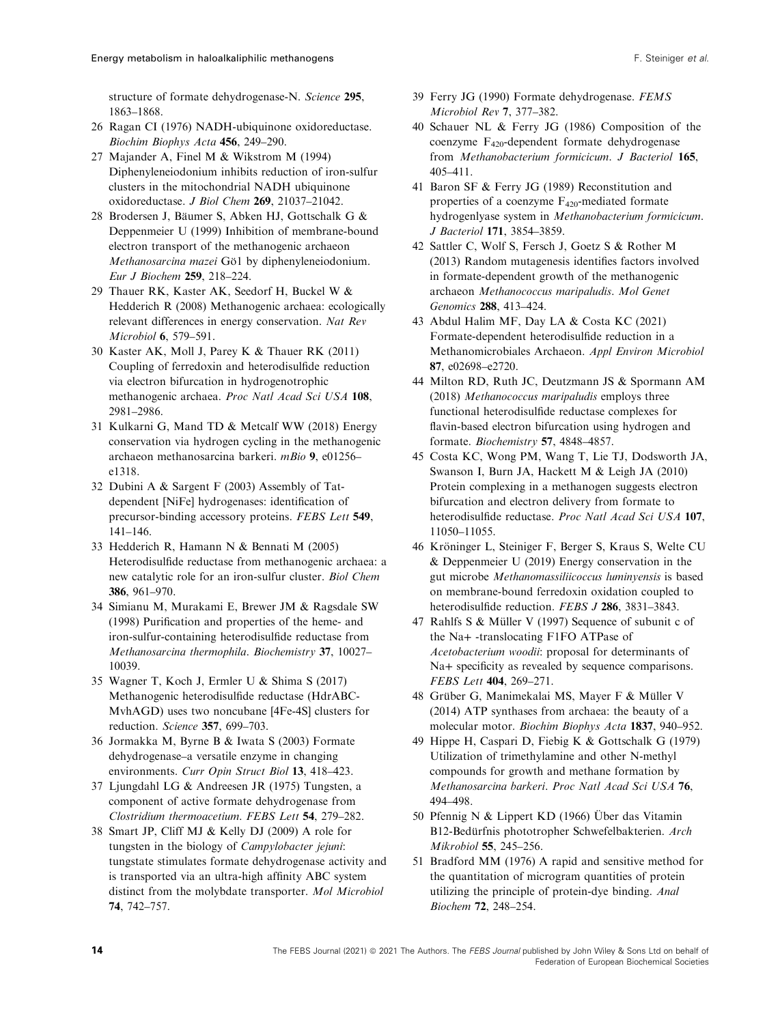<span id="page-14-0"></span>structure of formate dehydrogenase-N. Science 295, 1863–1868.

- 26 Ragan CI (1976) NADH-ubiquinone oxidoreductase. Biochim Biophys Acta 456, 249–290.
- 27 Majander A, Finel M & Wikstrom M (1994) Diphenyleneiodonium inhibits reduction of iron-sulfur clusters in the mitochondrial NADH ubiquinone oxidoreductase. J Biol Chem 269, 21037–21042.
- 28 Brodersen J, Bäumer S, Abken HJ, Gottschalk G & Deppenmeier U (1999) Inhibition of membrane-bound electron transport of the methanogenic archaeon Methanosarcina mazei Gö1 by diphenyleneiodonium. Eur J Biochem 259, 218–224.
- 29 Thauer RK, Kaster AK, Seedorf H, Buckel W & Hedderich R (2008) Methanogenic archaea: ecologically relevant differences in energy conservation. Nat Rev Microbiol 6, 579–591.
- 30 Kaster AK, Moll J, Parey K & Thauer RK (2011) Coupling of ferredoxin and heterodisulfide reduction via electron bifurcation in hydrogenotrophic methanogenic archaea. Proc Natl Acad Sci USA 108, 2981–2986.
- 31 Kulkarni G, Mand TD & Metcalf WW (2018) Energy conservation via hydrogen cycling in the methanogenic archaeon methanosarcina barkeri. mBio 9, e01256– e1318.
- 32 Dubini A & Sargent F (2003) Assembly of Tatdependent [NiFe] hydrogenases: identification of precursor-binding accessory proteins. FEBS Lett 549, 141–146.
- 33 Hedderich R, Hamann N & Bennati M (2005) Heterodisulfide reductase from methanogenic archaea: a new catalytic role for an iron-sulfur cluster. Biol Chem 386, 961–970.
- 34 Simianu M, Murakami E, Brewer JM & Ragsdale SW (1998) Purification and properties of the heme- and iron-sulfur-containing heterodisulfide reductase from Methanosarcina thermophila. Biochemistry 37, 10027– 10039.
- 35 Wagner T, Koch J, Ermler U & Shima S (2017) Methanogenic heterodisulfide reductase (HdrABC-MvhAGD) uses two noncubane [4Fe-4S] clusters for reduction. Science 357, 699–703.
- 36 Jormakka M, Byrne B & Iwata S (2003) Formate dehydrogenase–a versatile enzyme in changing environments. Curr Opin Struct Biol 13, 418–423.
- 37 Ljungdahl LG & Andreesen JR (1975) Tungsten, a component of active formate dehydrogenase from Clostridium thermoacetium. FEBS Lett 54, 279–282.
- 38 Smart JP, Cliff MJ & Kelly DJ (2009) A role for tungsten in the biology of Campylobacter jejuni: tungstate stimulates formate dehydrogenase activity and is transported via an ultra-high affinity ABC system distinct from the molybdate transporter. Mol Microbiol 74, 742–757.
- 39 Ferry JG (1990) Formate dehydrogenase. FEMS Microbiol Rev 7, 377–382.
- 40 Schauer NL & Ferry JG (1986) Composition of the coenzyme F420-dependent formate dehydrogenase from Methanobacterium formicicum. J Bacteriol 165, 405–411.
- 41 Baron SF & Ferry JG (1989) Reconstitution and properties of a coenzyme  $F_{420}$ -mediated formate hydrogenlyase system in Methanobacterium formicicum. J Bacteriol 171, 3854–3859.
- 42 Sattler C, Wolf S, Fersch J, Goetz S & Rother M (2013) Random mutagenesis identifies factors involved in formate-dependent growth of the methanogenic archaeon Methanococcus maripaludis. Mol Genet Genomics 288, 413–424.
- 43 Abdul Halim MF, Day LA & Costa KC (2021) Formate-dependent heterodisulfide reduction in a Methanomicrobiales Archaeon. Appl Environ Microbiol 87, e02698–e2720.
- 44 Milton RD, Ruth JC, Deutzmann JS & Spormann AM (2018) Methanococcus maripaludis employs three functional heterodisulfide reductase complexes for flavin-based electron bifurcation using hydrogen and formate. Biochemistry 57, 4848–4857.
- 45 Costa KC, Wong PM, Wang T, Lie TJ, Dodsworth JA, Swanson I, Burn JA, Hackett M & Leigh JA (2010) Protein complexing in a methanogen suggests electron bifurcation and electron delivery from formate to heterodisulfide reductase. Proc Natl Acad Sci USA 107, 11050–11055.
- 46 Kröninger L, Steiniger F, Berger S, Kraus S, Welte CU & Deppenmeier U (2019) Energy conservation in the gut microbe Methanomassiliicoccus luminyensis is based on membrane-bound ferredoxin oxidation coupled to heterodisulfide reduction. FEBS J 286, 3831-3843.
- 47 Rahlfs S & Müller V (1997) Sequence of subunit c of the Na+ -translocating F1FO ATPase of Acetobacterium woodii: proposal for determinants of Na+ specificity as revealed by sequence comparisons. FEBS Lett 404, 269–271.
- 48 Grüber G, Manimekalai MS, Mayer F & Müller V (2014) ATP synthases from archaea: the beauty of a molecular motor. Biochim Biophys Acta 1837, 940–952.
- 49 Hippe H, Caspari D, Fiebig K & Gottschalk G (1979) Utilization of trimethylamine and other N-methyl compounds for growth and methane formation by Methanosarcina barkeri. Proc Natl Acad Sci USA 76, 494–498.
- 50 Pfennig N & Lippert KD (1966) Über das Vitamin B12-Bedürfnis phototropher Schwefelbakterien. Arch Mikrobiol 55, 245–256.
- 51 Bradford MM (1976) A rapid and sensitive method for the quantitation of microgram quantities of protein utilizing the principle of protein-dye binding. Anal Biochem 72, 248–254.